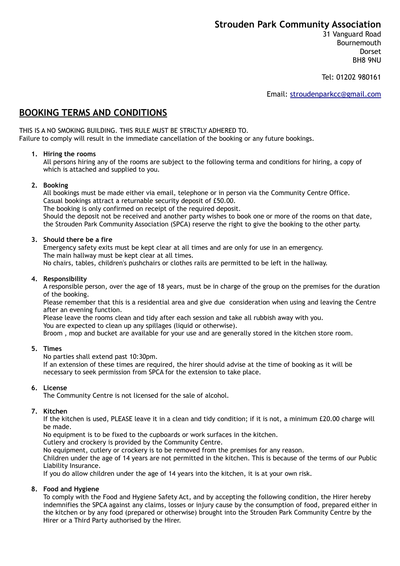# **Strouden Park Community Association**

31 Vanguard Road Bournemouth Dorset BH8 9NU

Tel: 01202 980161

Email: [stroudenparkcc@gmail.com](mailto:stroudenparkcc@gmail.com)

# **BOOKING TERMS AND CONDITIONS**

THIS IS A NO SMOKING BUILDING. THIS RULE MUST BE STRICTLY ADHERED TO. Failure to comply will result in the immediate cancellation of the booking or any future bookings.

### **1. Hiring the rooms**

All persons hiring any of the rooms are subject to the following terma and conditions for hiring, a copy of which is attached and supplied to you.

### **2. Booking**

All bookings must be made either via email, telephone or in person via the Community Centre Office. Casual bookings attract a returnable security deposit of £50.00. The booking is only confirmed on receipt of the required deposit.

Should the deposit not be received and another party wishes to book one or more of the rooms on that date, the Strouden Park Community Association (SPCA) reserve the right to give the booking to the other party.

## **3. Should there be a fire**

Emergency safety exits must be kept clear at all times and are only for use in an emergency. The main hallway must be kept clear at all times.

No chairs, tables, children's pushchairs or clothes rails are permitted to be left in the hallway.

## **4. Responsibility**

A responsible person, over the age of 18 years, must be in charge of the group on the premises for the duration of the booking.

Please remember that this is a residential area and give due consideration when using and leaving the Centre after an evening function.

Please leave the rooms clean and tidy after each session and take all rubbish away with you.

You are expected to clean up any spillages (liquid or otherwise).

Broom , mop and bucket are available for your use and are generally stored in the kitchen store room.

## **5. Times**

No parties shall extend past 10:30pm.

If an extension of these times are required, the hirer should advise at the time of booking as it will be necessary to seek permission from SPCA for the extension to take place.

## **6. License**

The Community Centre is not licensed for the sale of alcohol.

## **7. Kitchen**

If the kitchen is used, PLEASE leave it in a clean and tidy condition; if it is not, a minimum £20.00 charge will be made.

No equipment is to be fixed to the cupboards or work surfaces in the kitchen.

Cutlery and crockery is provided by the Community Centre.

No equipment, cutlery or crockery is to be removed from the premises for any reason.

Children under the age of 14 years are not permitted in the kitchen. This is because of the terms of our Public Liability Insurance.

If you do allow children under the age of 14 years into the kitchen, it is at your own risk.

### **8. Food and Hygiene**

To comply with the Food and Hygiene Safety Act, and by accepting the following condition, the Hirer hereby indemnifies the SPCA against any claims, losses or injury cause by the consumption of food, prepared either in the kitchen or by any food (prepared or otherwise) brought into the Strouden Park Community Centre by the Hirer or a Third Party authorised by the Hirer.